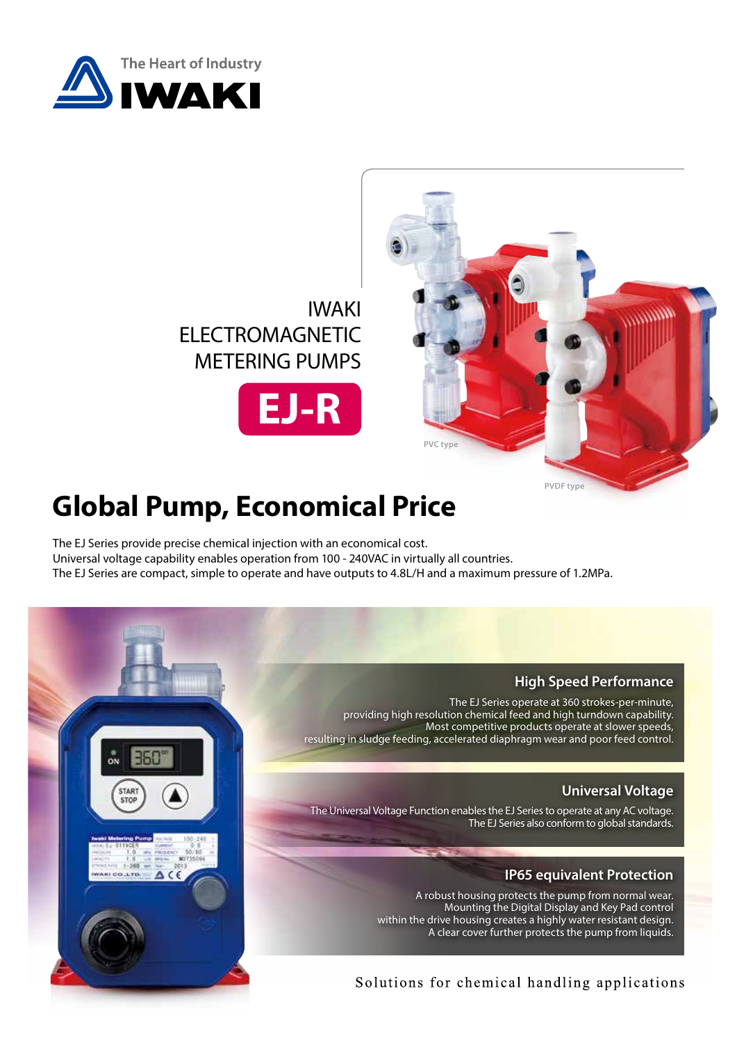

STAR

CO.LTD.

 $\triangle$  CE







# **Global Pump, Economical Price**

The EJ Series provide precise chemical injection with an economical cost. Universal voltage capability enables operation from 100 - 240VAC in virtually all countries. The EJ Series are compact, simple to operate and have outputs to 4.8L/H and a maximum pressure of 1.2MPa.

### **High Speed Performance**

The EJ Series operate at 360 strokes-per-minute, providing high resolution chemical feed and high turndown capability. Most competitive products operate at slower speeds, resulting in sludge feeding, accelerated diaphragm wear and poor feed control.

## **Universal Voltage**

The Universal Voltage Function enables the EJ Series to operate at any AC voltage. The EJ Series also conform to global standards.

### **IP65 equivalent Protection**

A robust housing protects the pump from normal wear. Mounting the Digital Display and Key Pad control within the drive housing creates a highly water resistant design. A clear cover further protects the pump from liquids.

## Solutions for chemical handling applications